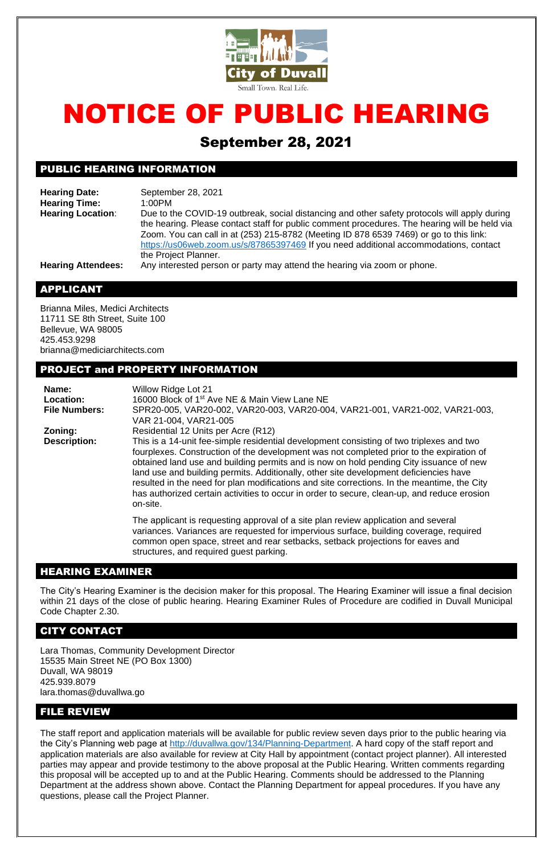

# NOTICE OF PUBLIC HEARING

# September 28, 2021

# PUBLIC HEARING INFORMATION

**Hearing Date:** September 28, 2021 **Hearing Time:** 1:00PM **Hearing Location**: Due to the COVID-19 outbreak, social distancing and other safety protocols will apply during the hearing. Please contact staff for public comment procedures. The hearing will be held via Zoom. You can call in at (253) 215-8782 (Meeting ID 878 6539 7469) or go to this link: <https://us06web.zoom.us/s/87865397469> If you need additional accommodations, contact the Project Planner.

**Hearing Attendees:** Any interested person or party may attend the hearing via zoom or phone.

# APPLICANT

Brianna Miles, Medici Architects 11711 SE 8th Street, Suite 100 Bellevue, WA 98005 425.453.9298 brianna@mediciarchitects.com

### PROJECT and PROPERTY INFORMATION

| Name:<br>Location:<br><b>File Numbers:</b> | <b>Willow Ridge Lot 21</b><br>16000 Block of 1 <sup>st</sup> Ave NE & Main View Lane NE<br>SPR20-005, VAR20-002, VAR20-003, VAR20-004, VAR21-001, VAR21-002, VAR21-003,<br>VAR 21-004, VAR21-005                                                                                                                                                                                                                                                                                                                                                                                  |
|--------------------------------------------|-----------------------------------------------------------------------------------------------------------------------------------------------------------------------------------------------------------------------------------------------------------------------------------------------------------------------------------------------------------------------------------------------------------------------------------------------------------------------------------------------------------------------------------------------------------------------------------|
| Zoning:                                    | Residential 12 Units per Acre (R12)                                                                                                                                                                                                                                                                                                                                                                                                                                                                                                                                               |
| <b>Description:</b>                        | This is a 14-unit fee-simple residential development consisting of two triplexes and two<br>fourplexes. Construction of the development was not completed prior to the expiration of<br>obtained land use and building permits and is now on hold pending City issuance of new<br>land use and building permits. Additionally, other site development deficiencies have<br>resulted in the need for plan modifications and site corrections. In the meantime, the City<br>has authorized certain activities to occur in order to secure, clean-up, and reduce erosion<br>on-site. |
|                                            | The applicant is requesting approval of a site plan review application and several<br>variances. Variances are requested for impervious surface, building coverage, required<br>common open space, street and rear setbacks, setback projections for eaves and<br>structures, and required guest parking.                                                                                                                                                                                                                                                                         |

### HEARING EXAMINER

The City's Hearing Examiner is the decision maker for this proposal. The Hearing Examiner will issue a final decision within 21 days of the close of public hearing. Hearing Examiner Rules of Procedure are codified in Duvall Municipal Code Chapter 2.30.

### CITY CONTACT

Lara Thomas, Community Development Director 15535 Main Street NE (PO Box 1300) Duvall, WA 98019 425.939.8079 lara.thomas@duvallwa.go

### FILE REVIEW

The staff report and application materials will be available for public review seven days prior to the public hearing via the City's Planning web page at [http://duvallwa.gov/134/Planning-Department.](http://duvallwa.gov/134/Planning-Department) A hard copy of the staff report and application materials are also available for review at City Hall by appointment (contact project planner). All interested parties may appear and provide testimony to the above proposal at the Public Hearing. Written comments regarding this proposal will be accepted up to and at the Public Hearing. Comments should be addressed to the Planning Department at the address shown above. Contact the Planning Department for appeal procedures. If you have any questions, please call the Project Planner.